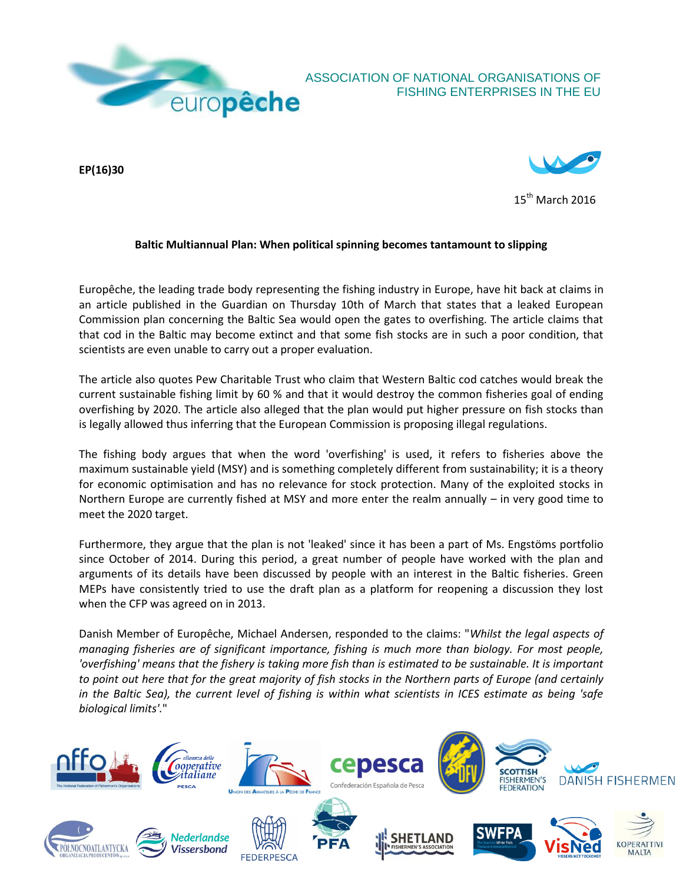

## ASSOCIATION OF NATIONAL ORGANISATIONS OF FISHING ENTERPRISES IN THE EU

**EP(16)30** 



 $15^{\text{th}}$  March 2016

## **Baltic Multiannual Plan: When political spinning becomes tantamount to slipping**

Europêche, the leading trade body representing the fishing industry in Europe, have hit back at claims in an article published in the Guardian on Thursday 10th of March that states that a leaked European Commission plan concerning the Baltic Sea would open the gates to overfishing. The article claims that that cod in the Baltic may become extinct and that some fish stocks are in such a poor condition, that scientists are even unable to carry out a proper evaluation.

The article also quotes Pew Charitable Trust who claim that Western Baltic cod catches would break the current sustainable fishing limit by 60 % and that it would destroy the common fisheries goal of ending overfishing by 2020. The article also alleged that the plan would put higher pressure on fish stocks than is legally allowed thus inferring that the European Commission is proposing illegal regulations.

The fishing body argues that when the word 'overfishing' is used, it refers to fisheries above the maximum sustainable yield (MSY) and is something completely different from sustainability; it is a theory for economic optimisation and has no relevance for stock protection. Many of the exploited stocks in Northern Europe are currently fished at MSY and more enter the realm annually – in very good time to meet the 2020 target.

Furthermore, they argue that the plan is not 'leaked' since it has been a part of Ms. Engstöms portfolio since October of 2014. During this period, a great number of people have worked with the plan and arguments of its details have been discussed by people with an interest in the Baltic fisheries. Green MEPs have consistently tried to use the draft plan as a platform for reopening a discussion they lost when the CFP was agreed on in 2013.

Danish Member of Europêche, Michael Andersen, responded to the claims: "*Whilst the legal aspects of managing fisheries are of significant importance, fishing is much more than biology. For most people,*  'overfishing' means that the fishery is taking more fish than is estimated to be sustainable. It is important *to point out here that for the great majority of fish stocks in the Northern parts of Europe (and certainly in the Baltic Sea), the current level of fishing is within what scientists in ICES estimate as being 'safe biological limits'.*"